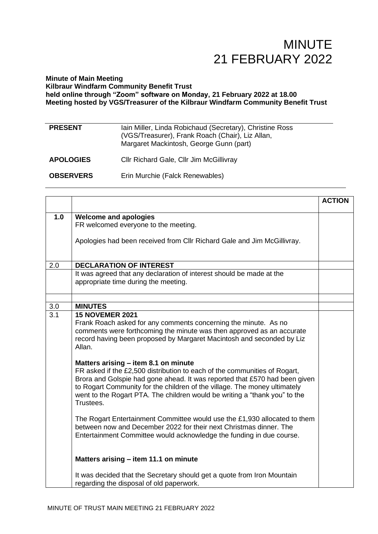#### **Minute of Main Meeting Kilbraur Windfarm Community Benefit Trust held online through "Zoom" software on Monday, 21 February 2022 at 18.00 Meeting hosted by VGS/Treasurer of the Kilbraur Windfarm Community Benefit Trust**

| <b>PRESENT</b>   | Iain Miller, Linda Robichaud (Secretary), Christine Ross<br>(VGS/Treasurer), Frank Roach (Chair), Liz Allan,<br>Margaret Mackintosh, George Gunn (part) |
|------------------|---------------------------------------------------------------------------------------------------------------------------------------------------------|
| <b>APOLOGIES</b> | Cllr Richard Gale, Cllr Jim McGillivray                                                                                                                 |
| <b>OBSERVERS</b> | Erin Murchie (Falck Renewables)                                                                                                                         |

|                  |                                                                                                                                                                                                                                                                                                                                                                                                                                                                                                                                                                                                                                  | <b>ACTION</b> |
|------------------|----------------------------------------------------------------------------------------------------------------------------------------------------------------------------------------------------------------------------------------------------------------------------------------------------------------------------------------------------------------------------------------------------------------------------------------------------------------------------------------------------------------------------------------------------------------------------------------------------------------------------------|---------------|
| 1.0              | <b>Welcome and apologies</b>                                                                                                                                                                                                                                                                                                                                                                                                                                                                                                                                                                                                     |               |
|                  | FR welcomed everyone to the meeting.                                                                                                                                                                                                                                                                                                                                                                                                                                                                                                                                                                                             |               |
|                  | Apologies had been received from Cllr Richard Gale and Jim McGillivray.                                                                                                                                                                                                                                                                                                                                                                                                                                                                                                                                                          |               |
|                  |                                                                                                                                                                                                                                                                                                                                                                                                                                                                                                                                                                                                                                  |               |
| 2.0              | <b>DECLARATION OF INTEREST</b>                                                                                                                                                                                                                                                                                                                                                                                                                                                                                                                                                                                                   |               |
|                  | It was agreed that any declaration of interest should be made at the<br>appropriate time during the meeting.                                                                                                                                                                                                                                                                                                                                                                                                                                                                                                                     |               |
|                  |                                                                                                                                                                                                                                                                                                                                                                                                                                                                                                                                                                                                                                  |               |
| 3.0              | <b>MINUTES</b>                                                                                                                                                                                                                                                                                                                                                                                                                                                                                                                                                                                                                   |               |
| $\overline{3.1}$ | <b>15 NOVEMER 2021</b><br>Frank Roach asked for any comments concerning the minute. As no<br>comments were forthcoming the minute was then approved as an accurate<br>record having been proposed by Margaret Macintosh and seconded by Liz<br>Allan.<br>Matters arising – item 8.1 on minute<br>FR asked if the £2,500 distribution to each of the communities of Rogart,<br>Brora and Golspie had gone ahead. It was reported that £570 had been given<br>to Rogart Community for the children of the village. The money ultimately<br>went to the Rogart PTA. The children would be writing a "thank you" to the<br>Trustees. |               |
|                  | The Rogart Entertainment Committee would use the £1,930 allocated to them<br>between now and December 2022 for their next Christmas dinner. The<br>Entertainment Committee would acknowledge the funding in due course.<br>Matters arising - item 11.1 on minute                                                                                                                                                                                                                                                                                                                                                                 |               |
|                  | It was decided that the Secretary should get a quote from Iron Mountain<br>regarding the disposal of old paperwork.                                                                                                                                                                                                                                                                                                                                                                                                                                                                                                              |               |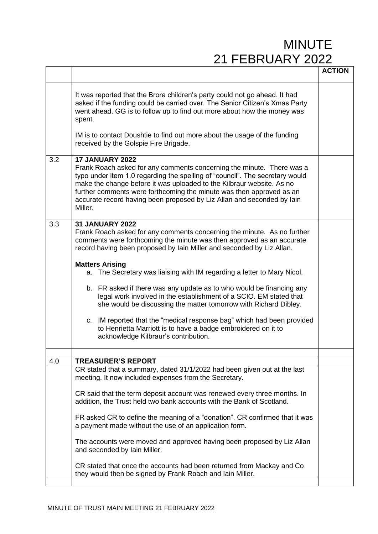|     |                                                                                                                                                                                                                                                                                                                                                                                                                                                                                                                                                                                                                                                                                 | <b>ACTION</b> |
|-----|---------------------------------------------------------------------------------------------------------------------------------------------------------------------------------------------------------------------------------------------------------------------------------------------------------------------------------------------------------------------------------------------------------------------------------------------------------------------------------------------------------------------------------------------------------------------------------------------------------------------------------------------------------------------------------|---------------|
|     |                                                                                                                                                                                                                                                                                                                                                                                                                                                                                                                                                                                                                                                                                 |               |
|     | It was reported that the Brora children's party could not go ahead. It had<br>asked if the funding could be carried over. The Senior Citizen's Xmas Party<br>went ahead. GG is to follow up to find out more about how the money was<br>spent.                                                                                                                                                                                                                                                                                                                                                                                                                                  |               |
|     | IM is to contact Doushtie to find out more about the usage of the funding<br>received by the Golspie Fire Brigade.                                                                                                                                                                                                                                                                                                                                                                                                                                                                                                                                                              |               |
| 3.2 | <b>17 JANUARY 2022</b><br>Frank Roach asked for any comments concerning the minute. There was a<br>typo under item 1.0 regarding the spelling of "council". The secretary would<br>make the change before it was uploaded to the Kilbraur website. As no<br>further comments were forthcoming the minute was then approved as an<br>accurate record having been proposed by Liz Allan and seconded by lain<br>Miller.                                                                                                                                                                                                                                                           |               |
| 3.3 | <b>31 JANUARY 2022</b><br>Frank Roach asked for any comments concerning the minute. As no further<br>comments were forthcoming the minute was then approved as an accurate<br>record having been proposed by lain Miller and seconded by Liz Allan.                                                                                                                                                                                                                                                                                                                                                                                                                             |               |
|     | <b>Matters Arising</b><br>a. The Secretary was liaising with IM regarding a letter to Mary Nicol.<br>b. FR asked if there was any update as to who would be financing any<br>legal work involved in the establishment of a SCIO. EM stated that<br>she would be discussing the matter tomorrow with Richard Dibley.<br>c. IM reported that the "medical response bag" which had been provided<br>to Henrietta Marriott is to have a badge embroidered on it to<br>acknowledge Kilbraur's contribution.                                                                                                                                                                          |               |
| 4.0 | <b>TREASURER'S REPORT</b>                                                                                                                                                                                                                                                                                                                                                                                                                                                                                                                                                                                                                                                       |               |
|     | CR stated that a summary, dated 31/1/2022 had been given out at the last<br>meeting. It now included expenses from the Secretary.<br>CR said that the term deposit account was renewed every three months. In<br>addition, the Trust held two bank accounts with the Bank of Scotland.<br>FR asked CR to define the meaning of a "donation". CR confirmed that it was<br>a payment made without the use of an application form.<br>The accounts were moved and approved having been proposed by Liz Allan<br>and seconded by Iain Miller.<br>CR stated that once the accounts had been returned from Mackay and Co<br>they would then be signed by Frank Roach and lain Miller. |               |
|     |                                                                                                                                                                                                                                                                                                                                                                                                                                                                                                                                                                                                                                                                                 |               |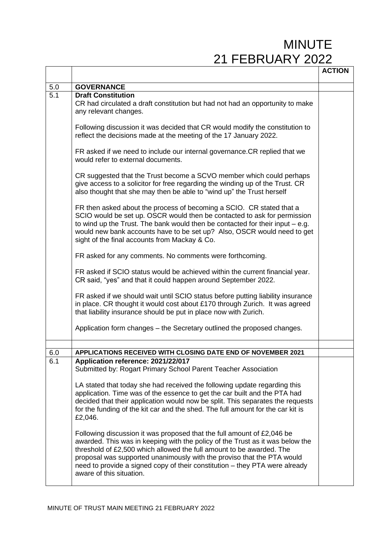|            |                                                                                                                                                                                                                                                                                                                                                                                                                      | <b>ACTION</b> |
|------------|----------------------------------------------------------------------------------------------------------------------------------------------------------------------------------------------------------------------------------------------------------------------------------------------------------------------------------------------------------------------------------------------------------------------|---------------|
| $5.0\,$    | <b>GOVERNANCE</b>                                                                                                                                                                                                                                                                                                                                                                                                    |               |
| 5.1        | <b>Draft Constitution</b><br>CR had circulated a draft constitution but had not had an opportunity to make<br>any relevant changes.                                                                                                                                                                                                                                                                                  |               |
|            | Following discussion it was decided that CR would modify the constitution to<br>reflect the decisions made at the meeting of the 17 January 2022.                                                                                                                                                                                                                                                                    |               |
|            | FR asked if we need to include our internal governance.CR replied that we<br>would refer to external documents.                                                                                                                                                                                                                                                                                                      |               |
|            | CR suggested that the Trust become a SCVO member which could perhaps<br>give access to a solicitor for free regarding the winding up of the Trust. CR<br>also thought that she may then be able to "wind up" the Trust herself                                                                                                                                                                                       |               |
|            | FR then asked about the process of becoming a SCIO. CR stated that a<br>SCIO would be set up. OSCR would then be contacted to ask for permission<br>to wind up the Trust. The bank would then be contacted for their input $-$ e.g.<br>would new bank accounts have to be set up? Also, OSCR would need to get<br>sight of the final accounts from Mackay & Co.                                                      |               |
|            | FR asked for any comments. No comments were forthcoming.                                                                                                                                                                                                                                                                                                                                                             |               |
|            | FR asked if SCIO status would be achieved within the current financial year.<br>CR said, "yes" and that it could happen around September 2022.                                                                                                                                                                                                                                                                       |               |
|            | FR asked if we should wait until SCIO status before putting liability insurance<br>in place. CR thought it would cost about £170 through Zurich. It was agreed<br>that liability insurance should be put in place now with Zurich.                                                                                                                                                                                   |               |
|            | Application form changes – the Secretary outlined the proposed changes.                                                                                                                                                                                                                                                                                                                                              |               |
|            |                                                                                                                                                                                                                                                                                                                                                                                                                      |               |
| 6.0<br>6.1 | <b>APPLICATIONS RECEIVED WITH CLOSING DATE END OF NOVEMBER 2021</b><br>Application reference: 2021/22/017                                                                                                                                                                                                                                                                                                            |               |
|            | Submitted by: Rogart Primary School Parent Teacher Association                                                                                                                                                                                                                                                                                                                                                       |               |
|            | LA stated that today she had received the following update regarding this<br>application. Time was of the essence to get the car built and the PTA had<br>decided that their application would now be split. This separates the requests<br>for the funding of the kit car and the shed. The full amount for the car kit is<br>£2,046.                                                                               |               |
|            | Following discussion it was proposed that the full amount of £2,046 be<br>awarded. This was in keeping with the policy of the Trust as it was below the<br>threshold of £2,500 which allowed the full amount to be awarded. The<br>proposal was supported unanimously with the proviso that the PTA would<br>need to provide a signed copy of their constitution – they PTA were already<br>aware of this situation. |               |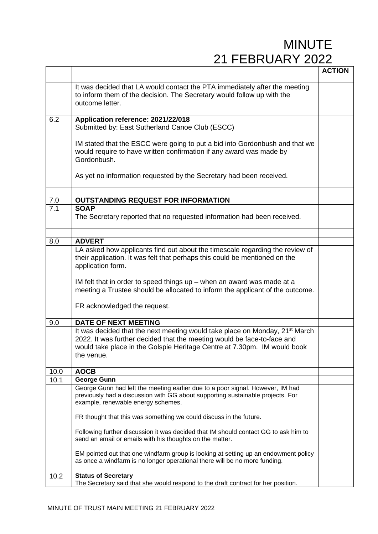|      |                                                                                                                                                                                                                                                                                                                                            | <b>ACTION</b> |
|------|--------------------------------------------------------------------------------------------------------------------------------------------------------------------------------------------------------------------------------------------------------------------------------------------------------------------------------------------|---------------|
|      | It was decided that LA would contact the PTA immediately after the meeting<br>to inform them of the decision. The Secretary would follow up with the<br>outcome letter.                                                                                                                                                                    |               |
| 6.2  | Application reference: 2021/22/018<br>Submitted by: East Sutherland Canoe Club (ESCC)                                                                                                                                                                                                                                                      |               |
|      | IM stated that the ESCC were going to put a bid into Gordonbush and that we<br>would require to have written confirmation if any award was made by<br>Gordonbush.                                                                                                                                                                          |               |
|      | As yet no information requested by the Secretary had been received.                                                                                                                                                                                                                                                                        |               |
|      |                                                                                                                                                                                                                                                                                                                                            |               |
| 7.0  | <b>OUTSTANDING REQUEST FOR INFORMATION</b>                                                                                                                                                                                                                                                                                                 |               |
| 7.1  | <b>SOAP</b><br>The Secretary reported that no requested information had been received.                                                                                                                                                                                                                                                     |               |
|      |                                                                                                                                                                                                                                                                                                                                            |               |
| 8.0  | <b>ADVERT</b>                                                                                                                                                                                                                                                                                                                              |               |
|      | LA asked how applicants find out about the timescale regarding the review of<br>their application. It was felt that perhaps this could be mentioned on the<br>application form.<br>IM felt that in order to speed things up - when an award was made at a<br>meeting a Trustee should be allocated to inform the applicant of the outcome. |               |
|      |                                                                                                                                                                                                                                                                                                                                            |               |
|      | FR acknowledged the request.                                                                                                                                                                                                                                                                                                               |               |
| 9.0  | <b>DATE OF NEXT MEETING</b>                                                                                                                                                                                                                                                                                                                |               |
|      | It was decided that the next meeting would take place on Monday, 21 <sup>st</sup> March<br>2022. It was further decided that the meeting would be face-to-face and<br>would take place in the Golspie Heritage Centre at 7.30pm. IM would book<br>the venue.                                                                               |               |
|      |                                                                                                                                                                                                                                                                                                                                            |               |
| 10.0 | <b>AOCB</b>                                                                                                                                                                                                                                                                                                                                |               |
| 10.1 | <b>George Gunn</b><br>George Gunn had left the meeting earlier due to a poor signal. However, IM had<br>previously had a discussion with GG about supporting sustainable projects. For<br>example, renewable energy schemes.                                                                                                               |               |
|      | FR thought that this was something we could discuss in the future.                                                                                                                                                                                                                                                                         |               |
|      | Following further discussion it was decided that IM should contact GG to ask him to<br>send an email or emails with his thoughts on the matter.                                                                                                                                                                                            |               |
|      | EM pointed out that one windfarm group is looking at setting up an endowment policy<br>as once a windfarm is no longer operational there will be no more funding.                                                                                                                                                                          |               |
| 10.2 | <b>Status of Secretary</b><br>The Secretary said that she would respond to the draft contract for her position.                                                                                                                                                                                                                            |               |
|      |                                                                                                                                                                                                                                                                                                                                            |               |